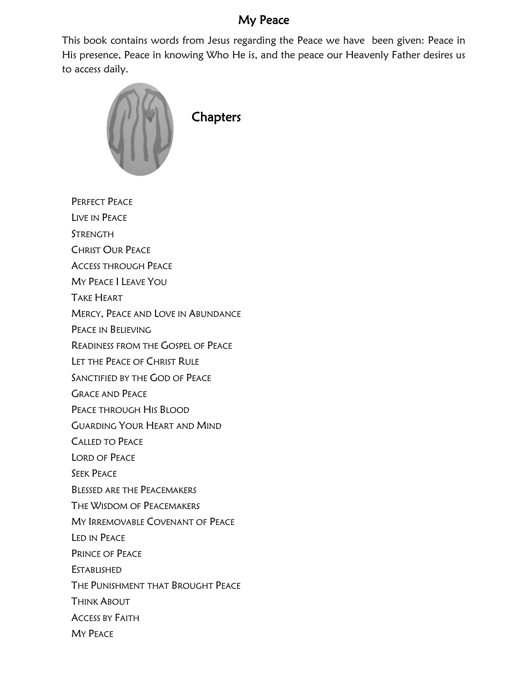## My Peace

This book contains words from Jesus regarding the Peace we have been given: Peace in His presence, Peace in knowing Who He is, and the peace our Heavenly Father desires us to access daily.



PERFECT PEACE LIVE IN PEACE

STRENGTH

CHRIST OUR PEACE

ACCESS THROUGH PEACE

MY PEACE I LEAVE YOU

TAKE HEART

MERCY, PEACE AND LOVE IN ABUNDANCE

PEACE IN BELIEVING

READINESS FROM THE GOSPEL OF PEACE

LET THE PEACE OF CHRIST RULE

SANCTIFIED BY THE GOD OF PEACE

GRACE AND PEACE

PEACE THROUGH HIS BLOOD

GUARDING YOUR HEART AND MIND

CALLED TO PEACE

LORD OF PEACE

SEEK PEACE

BLESSED ARE THE PEACEMAKERS

THE WISDOM OF PEACEMAKERS

MY IRREMOVABLE COVENANT OF PEACE

LED IN PEACE

PRINCE OF PEACE

ESTABLISHED

THE PUNISHMENT THAT BROUGHT PEACE

THINK ABOUT

ACCESS BY FAITH

MY PEACE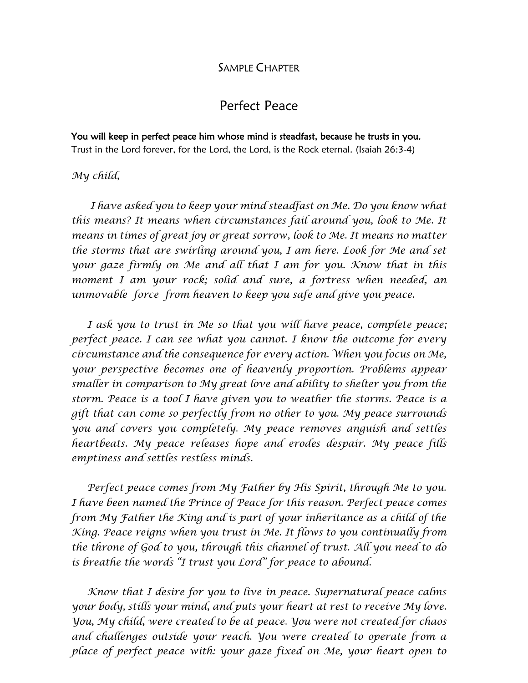### SAMPLE CHAPTER

## Perfect Peace

You will keep in perfect peace him whose mind is steadfast, because he trusts in you. Trust in the Lord forever, for the Lord, the Lord, is the Rock eternal. (Isaiah 26:3-4)

#### *My child,*

 *I have asked you to keep your mind steadfast on Me. Do you know what this means? It means when circumstances fail around you, look to Me. It means in times of great joy or great sorrow, look to Me. It means no matter the storms that are swirling around you, I am here. Look for Me and set your gaze firmly on Me and all that I am for you. Know that in this moment I am your rock; solid and sure, a fortress when needed, an unmovable force from heaven to keep you safe and give you peace.*

 *I ask you to trust in Me so that you will have peace, complete peace; perfect peace. I can see what you cannot. I know the outcome for every circumstance and the consequence for every action. When you focus on Me, your perspective becomes one of heavenly proportion. Problems appear smaller in comparison to My great love and ability to shelter you from the storm. Peace is a tool I have given you to weather the storms. Peace is a gift that can come so perfectly from no other to you. My peace surrounds you and covers you completely. My peace removes anguish and settles heartbeats. My peace releases hope and erodes despair. My peace fills emptiness and settles restless minds.*

 *Perfect peace comes from My Father by His Spirit, through Me to you. I have been named the Prince of Peace for this reason. Perfect peace comes from My Father the King and is part of your inheritance as a child of the King. Peace reigns when you trust in Me. It flows to you continually from the throne of God to you, through this channel of trust. All you need to do is breathe the words "I trust you Lord" for peace to abound.*

 *Know that I desire for you to live in peace. Supernatural peace calms your body, stills your mind, and puts your heart at rest to receive My love. You, My child, were created to be at peace. You were not created for chaos and challenges outside your reach. You were created to operate from a place of perfect peace with: your gaze fixed on Me, your heart open to*